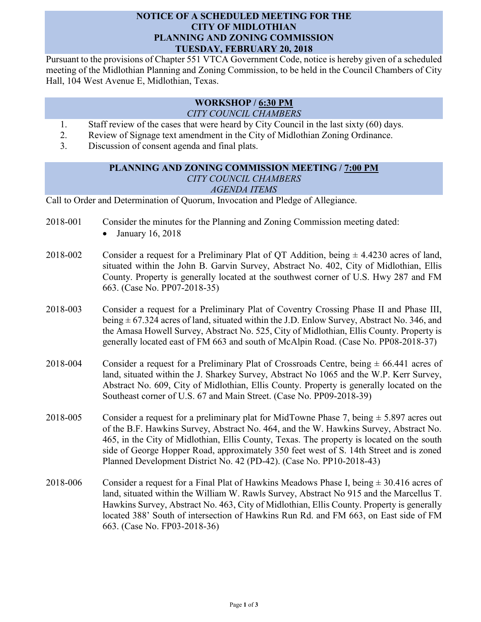## **NOTICE OF A SCHEDULED MEETING FOR THE CITY OF MIDLOTHIAN PLANNING AND ZONING COMMISSION TUESDAY, FEBRUARY 20, 2018**

Pursuant to the provisions of Chapter 551 VTCA Government Code, notice is hereby given of a scheduled meeting of the Midlothian Planning and Zoning Commission, to be held in the Council Chambers of City Hall, 104 West Avenue E, Midlothian, Texas.

## **WORKSHOP / 6:30 PM** *CITY COUNCIL CHAMBERS*

- 1. Staff review of the cases that were heard by City Council in the last sixty (60) days.
- 2. Review of Signage text amendment in the City of Midlothian Zoning Ordinance.
- 3. Discussion of consent agenda and final plats.

## **PLANNING AND ZONING COMMISSION MEETING / 7:00 PM** *CITY COUNCIL CHAMBERS AGENDA ITEMS*

Call to Order and Determination of Quorum, Invocation and Pledge of Allegiance.

- 2018-001 Consider the minutes for the Planning and Zoning Commission meeting dated:
	- January 16, 2018
- 2018-002 Consider a request for a Preliminary Plat of QT Addition, being  $\pm$  4.4230 acres of land, situated within the John B. Garvin Survey, Abstract No. 402, City of Midlothian, Ellis County. Property is generally located at the southwest corner of U.S. Hwy 287 and FM 663. (Case No. PP07-2018-35)
- 2018-003 Consider a request for a Preliminary Plat of Coventry Crossing Phase II and Phase III, being  $\pm$  67.324 acres of land, situated within the J.D. Enlow Survey, Abstract No. 346, and the Amasa Howell Survey, Abstract No. 525, City of Midlothian, Ellis County. Property is generally located east of FM 663 and south of McAlpin Road. (Case No. PP08-2018-37)
- 2018-004 Consider a request for a Preliminary Plat of Crossroads Centre, being  $\pm$  66.441 acres of land, situated within the J. Sharkey Survey, Abstract No 1065 and the W.P. Kerr Survey, Abstract No. 609, City of Midlothian, Ellis County. Property is generally located on the Southeast corner of U.S. 67 and Main Street. (Case No. PP09-2018-39)
- 2018-005 Consider a request for a preliminary plat for MidTowne Phase 7, being  $\pm$  5.897 acres out of the B.F. Hawkins Survey, Abstract No. 464, and the W. Hawkins Survey, Abstract No. 465, in the City of Midlothian, Ellis County, Texas. The property is located on the south side of George Hopper Road, approximately 350 feet west of S. 14th Street and is zoned Planned Development District No. 42 (PD-42). (Case No. PP10-2018-43)
- 2018-006 Consider a request for a Final Plat of Hawkins Meadows Phase I, being  $\pm$  30.416 acres of land, situated within the William W. Rawls Survey, Abstract No 915 and the Marcellus T. Hawkins Survey, Abstract No. 463, City of Midlothian, Ellis County. Property is generally located 388' South of intersection of Hawkins Run Rd. and FM 663, on East side of FM 663. (Case No. FP03-2018-36)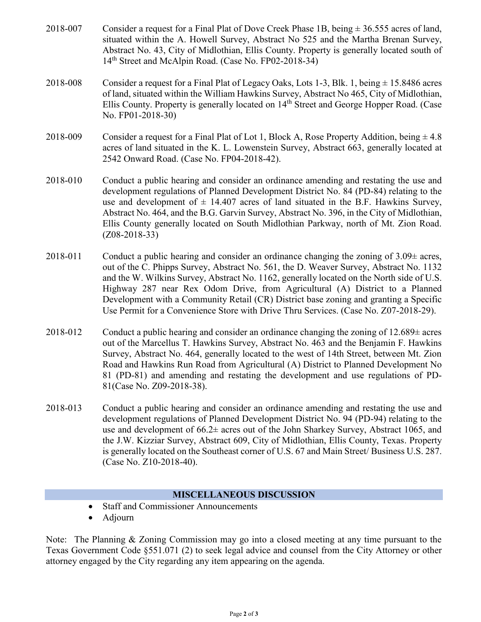- 2018-007 Consider a request for a Final Plat of Dove Creek Phase 1B, being  $\pm$  36.555 acres of land, situated within the A. Howell Survey, Abstract No 525 and the Martha Brenan Survey, Abstract No. 43, City of Midlothian, Ellis County. Property is generally located south of 14<sup>th</sup> Street and McAlpin Road. (Case No. FP02-2018-34)
- 2018-008 Consider a request for a Final Plat of Legacy Oaks, Lots 1-3, Blk. 1, being  $\pm$  15.8486 acres of land, situated within the William Hawkins Survey, Abstract No 465, City of Midlothian, Ellis County. Property is generally located on 14th Street and George Hopper Road. (Case No. FP01-2018-30)
- 2018-009 Consider a request for a Final Plat of Lot 1, Block A, Rose Property Addition, being  $\pm$  4.8 acres of land situated in the K. L. Lowenstein Survey, Abstract 663, generally located at 2542 Onward Road. (Case No. FP04-2018-42).
- 2018-010 Conduct a public hearing and consider an ordinance amending and restating the use and development regulations of Planned Development District No. 84 (PD-84) relating to the use and development of  $\pm$  14.407 acres of land situated in the B.F. Hawkins Survey, Abstract No. 464, and the B.G. Garvin Survey, Abstract No. 396, in the City of Midlothian, Ellis County generally located on South Midlothian Parkway, north of Mt. Zion Road. (Z08-2018-33)
- 2018-011 Conduct a public hearing and consider an ordinance changing the zoning of  $3.09\pm$  acres, out of the C. Phipps Survey, Abstract No. 561, the D. Weaver Survey, Abstract No. 1132 and the W. Wilkins Survey, Abstract No. 1162, generally located on the North side of U.S. Highway 287 near Rex Odom Drive, from Agricultural (A) District to a Planned Development with a Community Retail (CR) District base zoning and granting a Specific Use Permit for a Convenience Store with Drive Thru Services. (Case No. Z07-2018-29).
- 2018-012 Conduct a public hearing and consider an ordinance changing the zoning of  $12.689 \pm \text{acres}$ out of the Marcellus T. Hawkins Survey, Abstract No. 463 and the Benjamin F. Hawkins Survey, Abstract No. 464, generally located to the west of 14th Street, between Mt. Zion Road and Hawkins Run Road from Agricultural (A) District to Planned Development No 81 (PD-81) and amending and restating the development and use regulations of PD-81(Case No. Z09-2018-38).
- 2018-013 Conduct a public hearing and consider an ordinance amending and restating the use and development regulations of Planned Development District No. 94 (PD-94) relating to the use and development of 66.2± acres out of the John Sharkey Survey, Abstract 1065, and the J.W. Kizziar Survey, Abstract 609, City of Midlothian, Ellis County, Texas. Property is generally located on the Southeast corner of U.S. 67 and Main Street/ Business U.S. 287. (Case No. Z10-2018-40).

## **MISCELLANEOUS DISCUSSION**

- Staff and Commissioner Announcements
- Adjourn

Note: The Planning & Zoning Commission may go into a closed meeting at any time pursuant to the Texas Government Code §551.071 (2) to seek legal advice and counsel from the City Attorney or other attorney engaged by the City regarding any item appearing on the agenda.